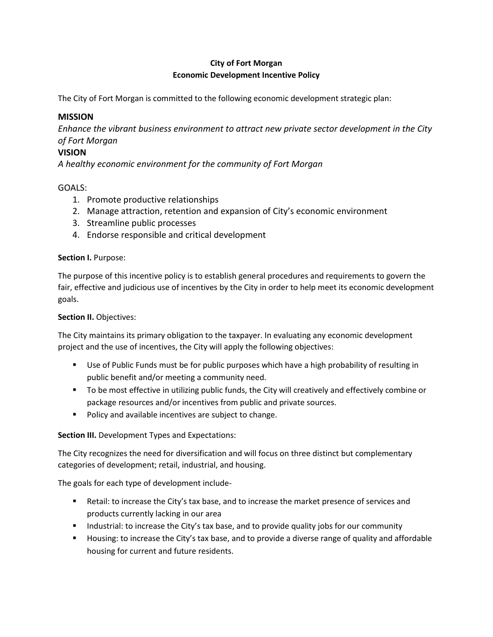# **City of Fort Morgan Economic Development Incentive Policy**

The City of Fort Morgan is committed to the following economic development strategic plan:

## **MISSION**

*Enhance the vibrant business environment to attract new private sector development in the City of Fort Morgan*

## **VISION**

*A healthy economic environment for the community of Fort Morgan*

### GOALS:

- 1. Promote productive relationships
- 2. Manage attraction, retention and expansion of City's economic environment
- 3. Streamline public processes
- 4. Endorse responsible and critical development

#### **Section I. Purpose:**

The purpose of this incentive policy is to establish general procedures and requirements to govern the fair, effective and judicious use of incentives by the City in order to help meet its economic development goals.

#### **Section II.** Objectives:

The City maintains its primary obligation to the taxpayer. In evaluating any economic development project and the use of incentives, the City will apply the following objectives:

- **Use of Public Funds must be for public purposes which have a high probability of resulting in** public benefit and/or meeting a community need.
- To be most effective in utilizing public funds, the City will creatively and effectively combine or package resources and/or incentives from public and private sources.
- **Policy and available incentives are subject to change.**

#### **Section III.** Development Types and Expectations:

The City recognizes the need for diversification and will focus on three distinct but complementary categories of development; retail, industrial, and housing.

The goals for each type of development include-

- Retail: to increase the City's tax base, and to increase the market presence of services and products currently lacking in our area
- Industrial: to increase the City's tax base, and to provide quality jobs for our community
- **H** Housing: to increase the City's tax base, and to provide a diverse range of quality and affordable housing for current and future residents.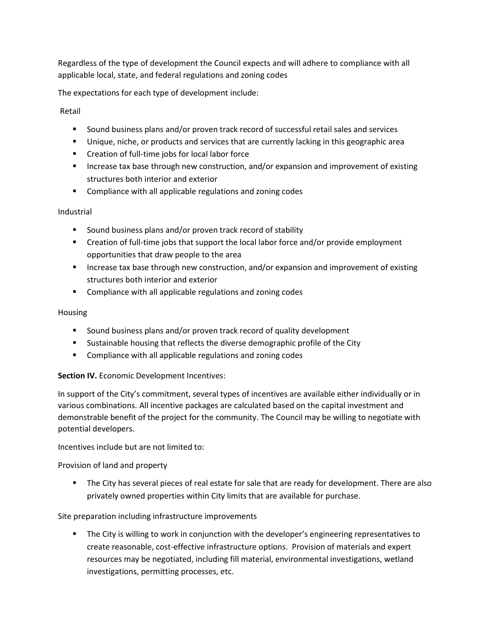Regardless of the type of development the Council expects and will adhere to compliance with all applicable local, state, and federal regulations and zoning codes

The expectations for each type of development include:

Retail

- Sound business plans and/or proven track record of successful retail sales and services
- Unique, niche, or products and services that are currently lacking in this geographic area
- Creation of full-time jobs for local labor force
- **Increase tax base through new construction, and/or expansion and improvement of existing** structures both interior and exterior
- **EXECOMPLE COMPLIANCE WEIGHT AND INCOCOLLY ADDETED** COMBINIONS **CONST**

### Industrial

- Sound business plans and/or proven track record of stability
- Creation of full-time jobs that support the local labor force and/or provide employment opportunities that draw people to the area
- **Increase tax base through new construction, and/or expansion and improvement of existing** structures both interior and exterior
- **EXECOMPLE COMPLIANCE With all applicable regulations and zoning codes**

### Housing

- **Sound business plans and/or proven track record of quality development**
- **Sustainable housing that reflects the diverse demographic profile of the City**
- **EXECOMPLE COMPLIANCE WEIGHT AND INCOCOLLY ADDETED** COMBINIONS **CONST**

## **Section IV.** Economic Development Incentives:

In support of the City's commitment, several types of incentives are available either individually or in various combinations. All incentive packages are calculated based on the capital investment and demonstrable benefit of the project for the community. The Council may be willing to negotiate with potential developers.

Incentives include but are not limited to:

Provision of land and property

 The City has several pieces of real estate for sale that are ready for development. There are also privately owned properties within City limits that are available for purchase.

Site preparation including infrastructure improvements

 The City is willing to work in conjunction with the developer's engineering representatives to create reasonable, cost-effective infrastructure options. Provision of materials and expert resources may be negotiated, including fill material, environmental investigations, wetland investigations, permitting processes, etc.